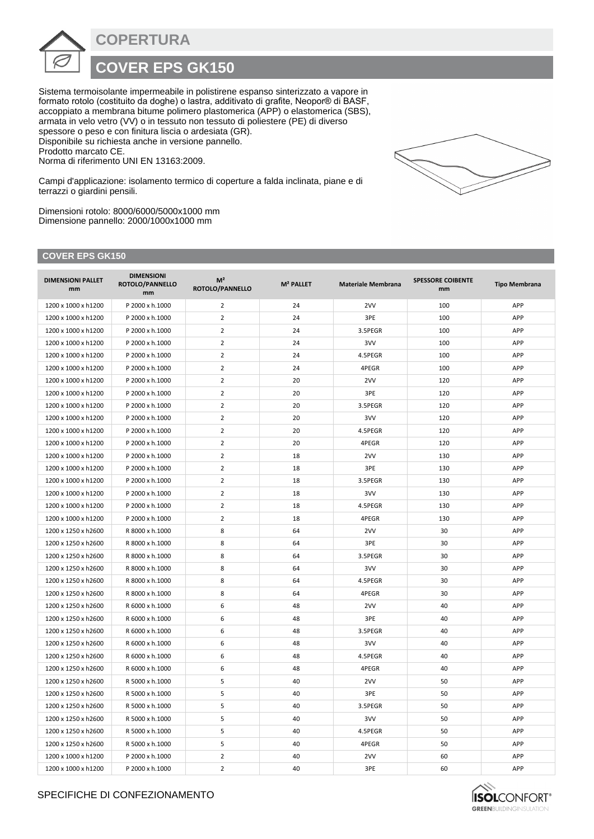**COPERTURA**

**COVER EPS GK150**

Sistema termoisolante impermeabile in polistirene espanso sinterizzato a vapore in formato rotolo (costituito da doghe) o lastra, additivato di grafite, Neopor® di BASF, accoppiato a membrana bitume polimero plastomerica (APP) o elastomerica (SBS), armata in velo vetro (VV) o in tessuto non tessuto di poliestere (PE) di diverso spessore o peso e con finitura liscia o ardesiata (GR). Disponibile su richiesta anche in versione pannello. Prodotto marcato CE. Norma di riferimento UNI EN 13163:2009.



Campi d'applicazione: isolamento termico di coperture a falda inclinata, piane e di terrazzi o giardini pensili.

Dimensioni rotolo: 8000/6000/5000x1000 mm Dimensione pannello: 2000/1000x1000 mm

## **COVER EPS GK150**

| <b>DIMENSIONI PALLET</b><br>mm | <b>DIMENSIONI</b><br>ROTOLO/PANNELLO<br>mm | M <sup>2</sup><br>ROTOLO/PANNELLO | M <sup>2</sup> PALLET | <b>Materiale Membrana</b> | <b>SPESSORE COIBENTE</b><br>mm | <b>Tipo Membrana</b> |
|--------------------------------|--------------------------------------------|-----------------------------------|-----------------------|---------------------------|--------------------------------|----------------------|
| 1200 x 1000 x h1200            | P 2000 x h.1000                            | $\overline{2}$                    | 24                    | 2VV                       | 100                            | APP                  |
| 1200 x 1000 x h1200            | P 2000 x h.1000                            | $\overline{2}$                    | 24                    | 3PE                       | 100                            | APP                  |
| 1200 x 1000 x h1200            | P 2000 x h.1000                            | $\overline{2}$                    | 24                    | 3.5PEGR                   | 100                            | APP                  |
| 1200 x 1000 x h1200            | P 2000 x h.1000                            | $\overline{2}$                    | 24                    | 3VV                       | 100                            | APP                  |
| 1200 x 1000 x h1200            | P 2000 x h.1000                            | $\overline{2}$                    | 24                    | 4.5PEGR                   | 100                            | APP                  |
| 1200 x 1000 x h1200            | P 2000 x h.1000                            | $\overline{2}$                    | 24                    | 4PEGR                     | 100                            | APP                  |
| 1200 x 1000 x h1200            | P 2000 x h.1000                            | $\overline{2}$                    | 20                    | 2VV                       | 120                            | APP                  |
| 1200 x 1000 x h1200            | P 2000 x h.1000                            | $\overline{2}$                    | 20                    | 3PE                       | 120                            | APP                  |
| 1200 x 1000 x h1200            | P 2000 x h.1000                            | $\overline{2}$                    | 20                    | 3.5PEGR                   | 120                            | APP                  |
| 1200 x 1000 x h1200            | P 2000 x h.1000                            | $\overline{2}$                    | 20                    | 3VV                       | 120                            | APP                  |
| 1200 x 1000 x h1200            | P 2000 x h.1000                            | $\overline{2}$                    | 20                    | 4.5PEGR                   | 120                            | APP                  |
| 1200 x 1000 x h1200            | P 2000 x h.1000                            | $\overline{2}$                    | 20                    | 4PEGR                     | 120                            | APP                  |
| 1200 x 1000 x h1200            | P 2000 x h.1000                            | $\overline{2}$                    | 18                    | 2VV                       | 130                            | APP                  |
| 1200 x 1000 x h1200            | P 2000 x h.1000                            | 2                                 | 18                    | 3PE                       | 130                            | APP                  |
| 1200 x 1000 x h1200            | P 2000 x h.1000                            | $\overline{2}$                    | 18                    | 3.5PEGR                   | 130                            | APP                  |
| 1200 x 1000 x h1200            | P 2000 x h.1000                            | $\overline{2}$                    | 18                    | 3VV                       | 130                            | APP                  |
| 1200 x 1000 x h1200            | P 2000 x h.1000                            | $\overline{2}$                    | 18                    | 4.5PEGR                   | 130                            | APP                  |
| 1200 x 1000 x h1200            | P 2000 x h.1000                            | $\overline{2}$                    | 18                    | 4PEGR                     | 130                            | APP                  |
| 1200 x 1250 x h2600            | R 8000 x h.1000                            | 8                                 | 64                    | 2VV                       | 30                             | APP                  |
| 1200 x 1250 x h2600            | R 8000 x h.1000                            | 8                                 | 64                    | 3PE                       | 30                             | APP                  |
| 1200 x 1250 x h2600            | R 8000 x h.1000                            | 8                                 | 64                    | 3.5PEGR                   | 30                             | APP                  |
| 1200 x 1250 x h2600            | R 8000 x h.1000                            | 8                                 | 64                    | 3VV                       | 30                             | APP                  |
| 1200 x 1250 x h2600            | R 8000 x h.1000                            | 8                                 | 64                    | 4.5PEGR                   | 30                             | APP                  |
| 1200 x 1250 x h2600            | R 8000 x h.1000                            | 8                                 | 64                    | 4PEGR                     | 30                             | APP                  |
| 1200 x 1250 x h2600            | R 6000 x h.1000                            | 6                                 | 48                    | 2VV                       | 40                             | APP                  |
| 1200 x 1250 x h2600            | R 6000 x h.1000                            | 6                                 | 48                    | 3PE                       | 40                             | APP                  |
| 1200 x 1250 x h2600            | R 6000 x h.1000                            | 6                                 | 48                    | 3.5PEGR                   | 40                             | APP                  |
| 1200 x 1250 x h2600            | R 6000 x h.1000                            | 6                                 | 48                    | 3VV                       | 40                             | APP                  |
| 1200 x 1250 x h2600            | R 6000 x h.1000                            | 6                                 | 48                    | 4.5PEGR                   | 40                             | APP                  |
| 1200 x 1250 x h2600            | R 6000 x h.1000                            | 6                                 | 48                    | 4PEGR                     | 40                             | APP                  |
| 1200 x 1250 x h2600            | R 5000 x h.1000                            | 5                                 | 40                    | 2VV                       | 50                             | APP                  |
| 1200 x 1250 x h2600            | R 5000 x h.1000                            | 5                                 | 40                    | 3PE                       | 50                             | APP                  |
| 1200 x 1250 x h2600            | R 5000 x h.1000                            | 5                                 | 40                    | 3.5PEGR                   | 50                             | APP                  |
| 1200 x 1250 x h2600            | R 5000 x h.1000                            | 5                                 | 40                    | 3VV                       | 50                             | APP                  |
| 1200 x 1250 x h2600            | R 5000 x h.1000                            | 5                                 | 40                    | 4.5PEGR                   | 50                             | APP                  |
| 1200 x 1250 x h2600            | R 5000 x h.1000                            | 5                                 | 40                    | 4PEGR                     | 50                             | APP                  |
| 1200 x 1000 x h1200            | P 2000 x h.1000                            | $\overline{2}$                    | 40                    | 2VV                       | 60                             | APP                  |
| 1200 x 1000 x h1200            | P 2000 x h.1000                            | $\overline{2}$                    | 40                    | 3PE                       | 60                             | APP                  |